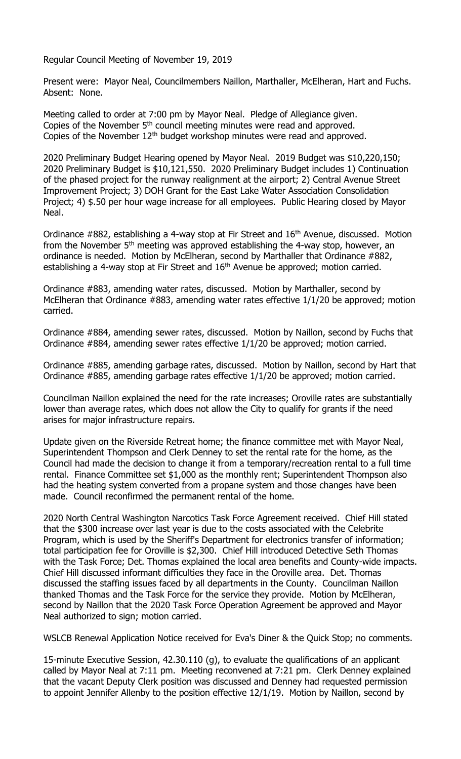Regular Council Meeting of November 19, 2019

Present were: Mayor Neal, Councilmembers Naillon, Marthaller, McElheran, Hart and Fuchs. Absent: None.

Meeting called to order at 7:00 pm by Mayor Neal. Pledge of Allegiance given. Copies of the November 5<sup>th</sup> council meeting minutes were read and approved. Copies of the November 12<sup>th</sup> budget workshop minutes were read and approved.

2020 Preliminary Budget Hearing opened by Mayor Neal. 2019 Budget was \$10,220,150; 2020 Preliminary Budget is \$10,121,550. 2020 Preliminary Budget includes 1) Continuation of the phased project for the runway realignment at the airport; 2) Central Avenue Street Improvement Project; 3) DOH Grant for the East Lake Water Association Consolidation Project; 4) \$.50 per hour wage increase for all employees. Public Hearing closed by Mayor Neal.

Ordinance #882, establishing a 4-way stop at Fir Street and 16<sup>th</sup> Avenue, discussed. Motion from the November 5th meeting was approved establishing the 4-way stop, however, an ordinance is needed. Motion by McElheran, second by Marthaller that Ordinance #882, establishing a 4-way stop at Fir Street and  $16<sup>th</sup>$  Avenue be approved; motion carried.

Ordinance #883, amending water rates, discussed. Motion by Marthaller, second by McElheran that Ordinance #883, amending water rates effective 1/1/20 be approved; motion carried.

Ordinance #884, amending sewer rates, discussed. Motion by Naillon, second by Fuchs that Ordinance #884, amending sewer rates effective 1/1/20 be approved; motion carried.

Ordinance #885, amending garbage rates, discussed. Motion by Naillon, second by Hart that Ordinance #885, amending garbage rates effective 1/1/20 be approved; motion carried.

Councilman Naillon explained the need for the rate increases; Oroville rates are substantially lower than average rates, which does not allow the City to qualify for grants if the need arises for major infrastructure repairs.

Update given on the Riverside Retreat home; the finance committee met with Mayor Neal, Superintendent Thompson and Clerk Denney to set the rental rate for the home, as the Council had made the decision to change it from a temporary/recreation rental to a full time rental. Finance Committee set \$1,000 as the monthly rent; Superintendent Thompson also had the heating system converted from a propane system and those changes have been made. Council reconfirmed the permanent rental of the home.

2020 North Central Washington Narcotics Task Force Agreement received. Chief Hill stated that the \$300 increase over last year is due to the costs associated with the Celebrite Program, which is used by the Sheriff's Department for electronics transfer of information; total participation fee for Oroville is \$2,300. Chief Hill introduced Detective Seth Thomas with the Task Force; Det. Thomas explained the local area benefits and County-wide impacts. Chief Hill discussed informant difficulties they face in the Oroville area. Det. Thomas discussed the staffing issues faced by all departments in the County. Councilman Naillon thanked Thomas and the Task Force for the service they provide. Motion by McElheran, second by Naillon that the 2020 Task Force Operation Agreement be approved and Mayor Neal authorized to sign; motion carried.

WSLCB Renewal Application Notice received for Eva's Diner & the Quick Stop; no comments.

15-minute Executive Session, 42.30.110 (g), to evaluate the qualifications of an applicant called by Mayor Neal at 7:11 pm. Meeting reconvened at 7:21 pm. Clerk Denney explained that the vacant Deputy Clerk position was discussed and Denney had requested permission to appoint Jennifer Allenby to the position effective 12/1/19. Motion by Naillon, second by